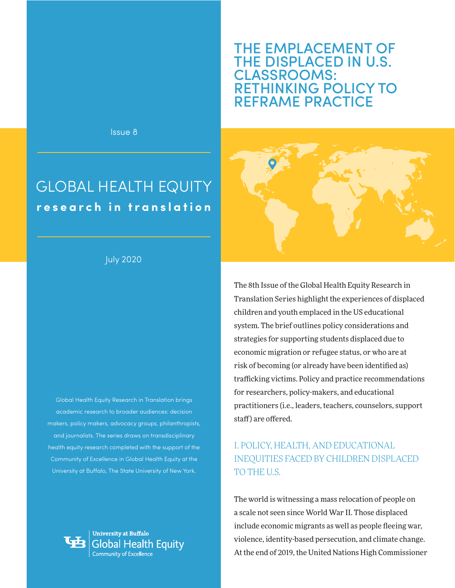# THE EMPLACEMENT OF THE DISPLACED IN U.S. CLASSROOMS: RETHINKING POLICY TO REFRAME PRACTICE

Issue 8

# GLOBAL HEALTH EQUITY **research in translation**

### July 2020

Global Health Equity Research in Translation brings academic research to broader audiences: decision makers, policy makers, advocacy groups, philanthropists, and journalists. The series draws on transdisciplinary health equity research completed with the support of the Community of Excellence in Global Health Equity at the University at Buffalo, The State University of New York.



**University at Buffalo Slobal Health Equity** 



The 8th Issue of the Global Health Equity Research in Translation Series highlight the experiences of displaced children and youth emplaced in the US educational system. The brief outlines policy considerations and strategies for supporting students displaced due to economic migration or refugee status, or who are at risk of becoming (or already have been identified as) trafficking victims. Policy and practice recommendations for researchers, policy-makers, and educational practitioners (i.e., leaders, teachers, counselors, support staff) are offered.

## I. POLICY, HEALTH, AND EDUCATIONAL INEQUITIES FACED BY CHILDREN DISPLACED TO THE U.S.

The world is witnessing a mass relocation of people on a scale not seen since World War II. Those displaced include economic migrants as well as people fleeing war, violence, identity-based persecution, and climate change. At the end of 2019, the United Nations High Commissioner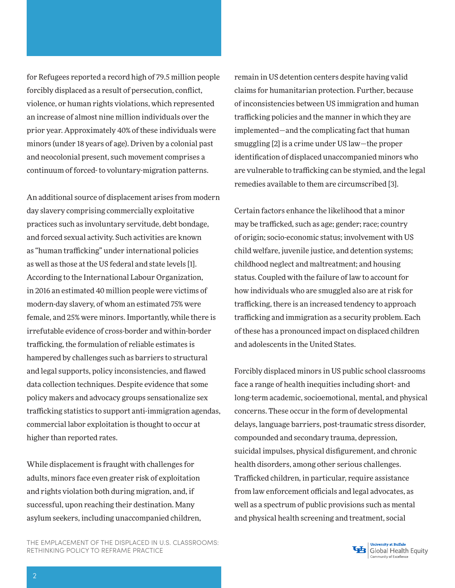for Refugees reported a record high of 79.5 million people forcibly displaced as a result of persecution, conflict, violence, or human rights violations, which represented an increase of almost nine million individuals over the prior year. Approximately 40% of these individuals were minors (under 18 years of age). Driven by a colonial past and neocolonial present, such movement comprises a continuum of forced- to voluntary-migration patterns.

An additional source of displacement arises from modern day slavery comprising commercially exploitative practices such as involuntary servitude, debt bondage, and forced sexual activity. Such activities are known as "human trafficking" under international policies as well as those at the US federal and state levels [1]. According to the International Labour Organization, in 2016 an estimated 40 million people were victims of modern-day slavery, of whom an estimated 75% were female, and 25% were minors. Importantly, while there is irrefutable evidence of cross-border and within-border trafficking, the formulation of reliable estimates is hampered by challenges such as barriers to structural and legal supports, policy inconsistencies, and flawed data collection techniques. Despite evidence that some policy makers and advocacy groups sensationalize sex trafficking statistics to support anti-immigration agendas, commercial labor exploitation is thought to occur at higher than reported rates.

While displacement is fraught with challenges for adults, minors face even greater risk of exploitation and rights violation both during migration, and, if successful, upon reaching their destination. Many asylum seekers, including unaccompanied children,

THE EMPLACEMENT OF THE DISPLACED IN U.S. CLASSROOMS: RETHINKING POLICY TO REFRAME PRACTICE

remain in US detention centers despite having valid claims for humanitarian protection. Further, because of inconsistencies between US immigration and human trafficking policies and the manner in which they are implemented—and the complicating fact that human smuggling [2] is a crime under US law—the proper identification of displaced unaccompanied minors who are vulnerable to trafficking can be stymied, and the legal remedies available to them are circumscribed [3].

Certain factors enhance the likelihood that a minor may be trafficked, such as age; gender; race; country of origin; socio-economic status; involvement with US child welfare, juvenile justice, and detention systems; childhood neglect and maltreatment; and housing status. Coupled with the failure of law to account for how individuals who are smuggled also are at risk for trafficking, there is an increased tendency to approach trafficking and immigration as a security problem. Each of these has a pronounced impact on displaced children and adolescents in the United States.

Forcibly displaced minors in US public school classrooms face a range of health inequities including short- and long-term academic, socioemotional, mental, and physical concerns. These occur in the form of developmental delays, language barriers, post-traumatic stress disorder, compounded and secondary trauma, depression, suicidal impulses, physical disfigurement, and chronic health disorders, among other serious challenges. Trafficked children, in particular, require assistance from law enforcement officials and legal advocates, as well as a spectrum of public provisions such as mental and physical health screening and treatment, social

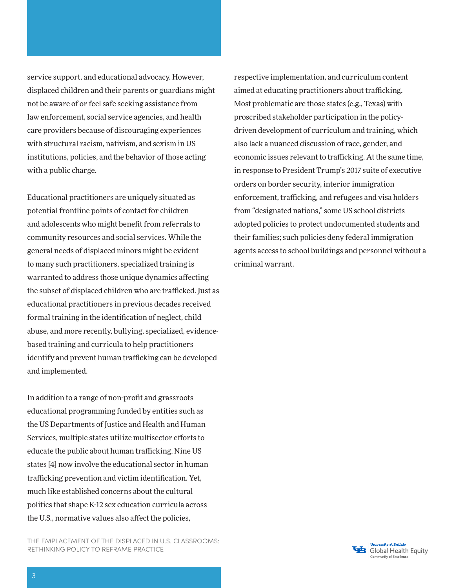service support, and educational advocacy. However, displaced children and their parents or guardians might not be aware of or feel safe seeking assistance from law enforcement, social service agencies, and health care providers because of discouraging experiences with structural racism, nativism, and sexism in US institutions, policies, and the behavior of those acting with a public charge.

Educational practitioners are uniquely situated as potential frontline points of contact for children and adolescents who might benefit from referrals to community resources and social services. While the general needs of displaced minors might be evident to many such practitioners, specialized training is warranted to address those unique dynamics affecting the subset of displaced children who are trafficked. Just as educational practitioners in previous decades received formal training in the identification of neglect, child abuse, and more recently, bullying, specialized, evidencebased training and curricula to help practitioners identify and prevent human trafficking can be developed and implemented.

In addition to a range of non-profit and grassroots educational programming funded by entities such as the US Departments of Justice and Health and Human Services, multiple states utilize multisector efforts to educate the public about human trafficking. Nine US states [4] now involve the educational sector in human trafficking prevention and victim identification. Yet, much like established concerns about the cultural politics that shape K-12 sex education curricula across the U.S., normative values also affect the policies,

THE EMPLACEMENT OF THE DISPLACED IN U.S. CLASSROOMS: RETHINKING POLICY TO REFRAME PRACTICE

respective implementation, and curriculum content aimed at educating practitioners about trafficking. Most problematic are those states (e.g., Texas) with proscribed stakeholder participation in the policydriven development of curriculum and training, which also lack a nuanced discussion of race, gender, and economic issues relevant to trafficking. At the same time, in response to President Trump's 2017 suite of executive orders on border security, interior immigration enforcement, trafficking, and refugees and visa holders from "designated nations," some US school districts adopted policies to protect undocumented students and their families; such policies deny federal immigration agents access to school buildings and personnel without a criminal warrant.

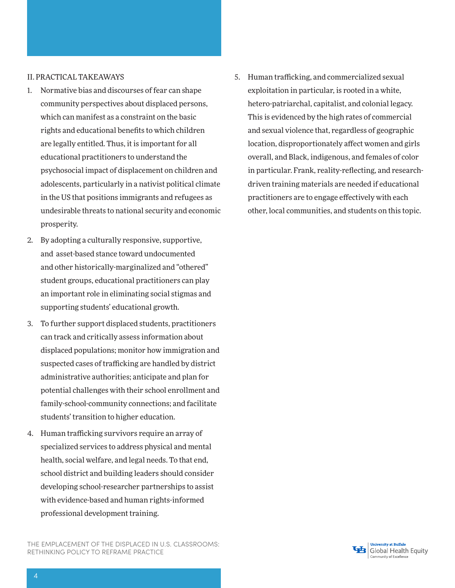#### II. PRACTICAL TAKEAWAYS

- 1. Normative bias and discourses of fear can shape community perspectives about displaced persons, which can manifest as a constraint on the basic rights and educational benefits to which children are legally entitled. Thus, it is important for all educational practitioners to understand the psychosocial impact of displacement on children and adolescents, particularly in a nativist political climate in the US that positions immigrants and refugees as undesirable threats to national security and economic prosperity.
- 2. By adopting a culturally responsive, supportive, and asset-based stance toward undocumented and other historically-marginalized and "othered" student groups, educational practitioners can play an important role in eliminating social stigmas and supporting students' educational growth.
- 3. To further support displaced students, practitioners can track and critically assess information about displaced populations; monitor how immigration and suspected cases of trafficking are handled by district administrative authorities; anticipate and plan for potential challenges with their school enrollment and family-school-community connections; and facilitate students' transition to higher education.
- 4. Human trafficking survivors require an array of specialized services to address physical and mental health, social welfare, and legal needs. To that end, school district and building leaders should consider developing school-researcher partnerships to assist with evidence-based and human rights-informed professional development training.

THE EMPLACEMENT OF THE DISPLACED IN U.S. CLASSROOMS: RETHINKING POLICY TO REFRAME PRACTICE

5. Human trafficking, and commercialized sexual exploitation in particular, is rooted in a white, hetero-patriarchal, capitalist, and colonial legacy. This is evidenced by the high rates of commercial and sexual violence that, regardless of geographic location, disproportionately affect women and girls overall, and Black, indigenous, and females of color in particular. Frank, reality-reflecting, and researchdriven training materials are needed if educational practitioners are to engage effectively with each other, local communities, and students on this topic.

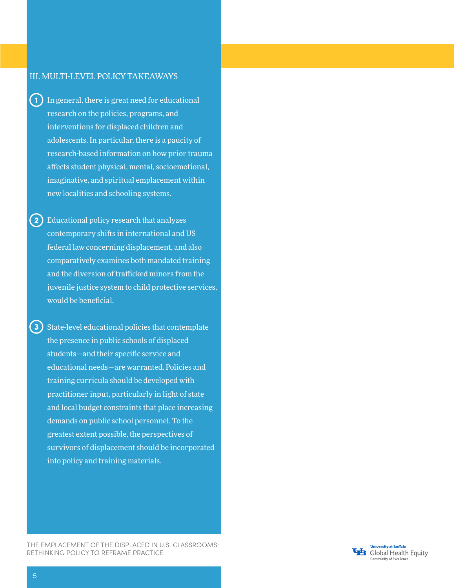#### III. MULTI-LEVEL POLICY TAKEAWAYS

- $\left( 1\right)$ In general, there is great need for educational research on the policies, programs, and interventions for displaced children and adolescents. In particular, there is a paucity of research-based information on how prior trauma affects student physical, mental, socioemotional, imaginative, and spiritual emplacement within new localities and schooling systems.
- (2) Educational policy research that analyzes contemporary shifts in international and US federal law concerning displacement, and also comparatively examines both mandated training and the diversion of trafficked minors from the juvenile justice system to child protective services, would be beneficial.
- **3)** State-level educational policies that contemplate the presence in public schools of displaced students—and their specific service and educational needs—are warranted. Policies and training curricula should be developed with practitioner input, particularly in light of state and local budget constraints that place increasing demands on public school personnel. To the greatest extent possible, the perspectives of survivors of displacement should be incorporated into policy and training materials.

THE EMPLACEMENT OF THE DISPLACED IN U.S. CLASSROOMS: RETHINKING POLICY TO REFRAME PRACTICE